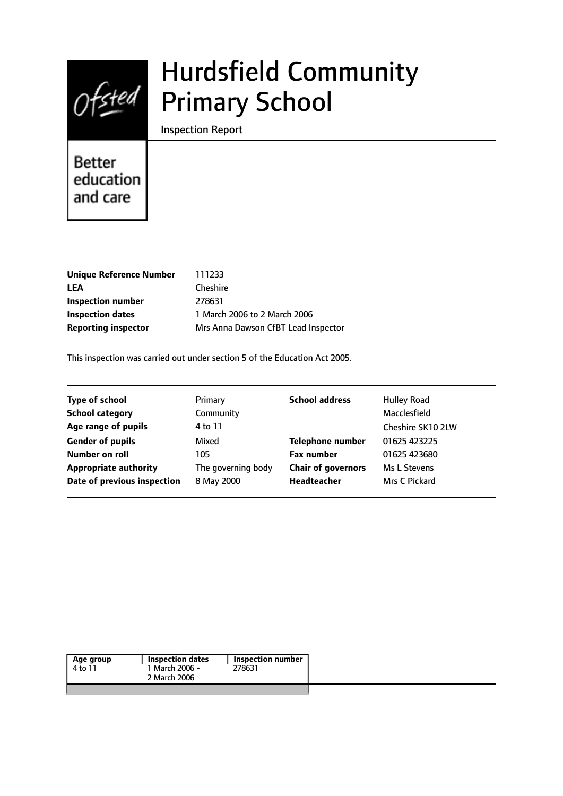

# Hurdsfield Community Primary School

Inspection Report

Better education and care

| Unique Reference Number    | 111233                              |
|----------------------------|-------------------------------------|
| LEA                        | <b>Cheshire</b>                     |
| Inspection number          | 278631                              |
| Inspection dates           | 1 March 2006 to 2 March 2006        |
| <b>Reporting inspector</b> | Mrs Anna Dawson CfBT Lead Inspector |
|                            |                                     |

This inspection was carried out under section 5 of the Education Act 2005.

| <b>Type of school</b>        | Primary            | <b>School address</b>     | <b>Hulley Road</b> |
|------------------------------|--------------------|---------------------------|--------------------|
| <b>School category</b>       | Community          |                           | Macclesfield       |
| Age range of pupils          | 4 to 11            |                           | Cheshire SK10 2LW  |
| <b>Gender of pupils</b>      | Mixed              | <b>Telephone number</b>   | 01625 423225       |
| Number on roll               | 105                | <b>Fax number</b>         | 01625 423680       |
| <b>Appropriate authority</b> | The governing body | <b>Chair of governors</b> | Ms L Stevens       |
| Date of previous inspection  | 8 May 2000         | <b>Headteacher</b>        | Mrs C Pickard      |
|                              |                    |                           |                    |

| Age group | Inspection dates | <b>Inspection number</b> |
|-----------|------------------|--------------------------|
| 4 to 11   | 1 March 2006 -   | 278631                   |
|           | 2 March 2006     |                          |
|           |                  |                          |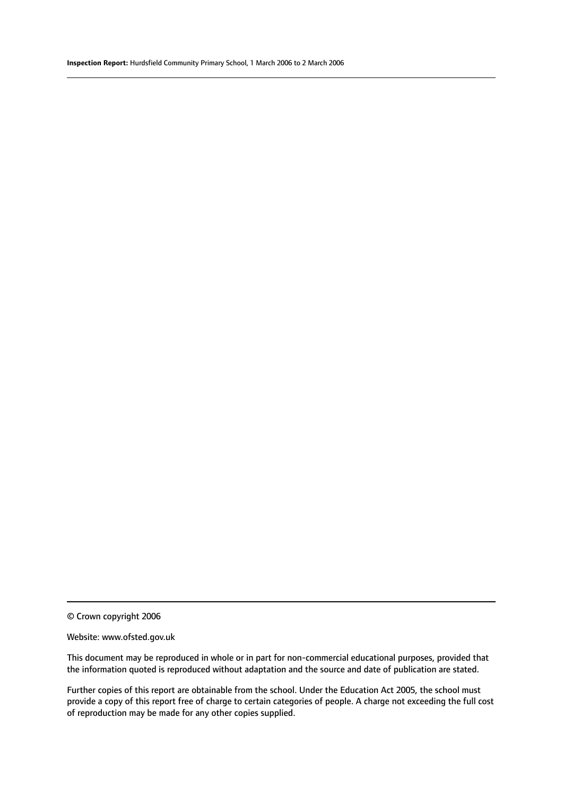© Crown copyright 2006

#### Website: www.ofsted.gov.uk

This document may be reproduced in whole or in part for non-commercial educational purposes, provided that the information quoted is reproduced without adaptation and the source and date of publication are stated.

Further copies of this report are obtainable from the school. Under the Education Act 2005, the school must provide a copy of this report free of charge to certain categories of people. A charge not exceeding the full cost of reproduction may be made for any other copies supplied.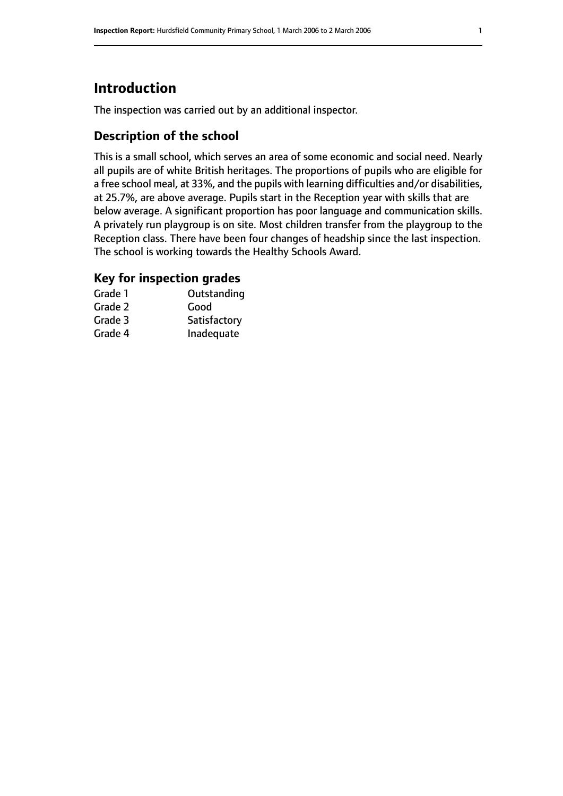# **Introduction**

The inspection was carried out by an additional inspector.

# **Description of the school**

This is a small school, which serves an area of some economic and social need. Nearly all pupils are of white British heritages. The proportions of pupils who are eligible for a free school meal, at 33%, and the pupils with learning difficulties and/or disabilities, at 25.7%, are above average. Pupils start in the Reception year with skills that are below average. A significant proportion has poor language and communication skills. A privately run playgroup is on site. Most children transfer from the playgroup to the Reception class. There have been four changes of headship since the last inspection. The school is working towards the Healthy Schools Award.

### **Key for inspection grades**

| Grade 1 | Outstanding  |
|---------|--------------|
| Grade 2 | Good         |
| Grade 3 | Satisfactory |
| Grade 4 | Inadequate   |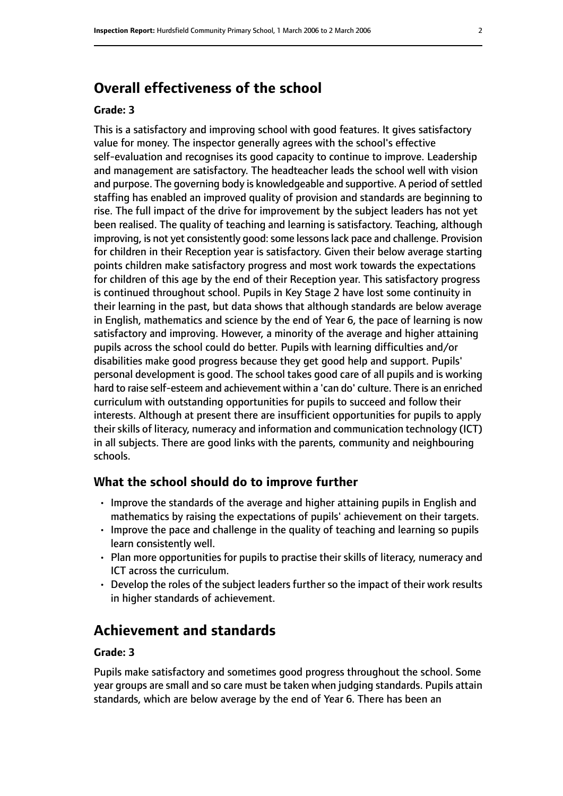# **Overall effectiveness of the school**

#### **Grade: 3**

This is a satisfactory and improving school with good features. It gives satisfactory value for money. The inspector generally agrees with the school's effective self-evaluation and recognises its good capacity to continue to improve. Leadership and management are satisfactory. The headteacher leads the school well with vision and purpose. The governing body is knowledgeable and supportive. A period of settled staffing has enabled an improved quality of provision and standards are beginning to rise. The full impact of the drive for improvement by the subject leaders has not yet been realised. The quality of teaching and learning is satisfactory. Teaching, although improving, is not yet consistently good: some lessons lack pace and challenge. Provision for children in their Reception year is satisfactory. Given their below average starting points children make satisfactory progress and most work towards the expectations for children of this age by the end of their Reception year. This satisfactory progress is continued throughout school. Pupils in Key Stage 2 have lost some continuity in their learning in the past, but data shows that although standards are below average in English, mathematics and science by the end of Year 6, the pace of learning is now satisfactory and improving. However, a minority of the average and higher attaining pupils across the school could do better. Pupils with learning difficulties and/or disabilities make good progress because they get good help and support. Pupils' personal development is good. The school takes good care of all pupils and is working hard to raise self-esteem and achievement within a 'can do' culture. There is an enriched curriculum with outstanding opportunities for pupils to succeed and follow their interests. Although at present there are insufficient opportunities for pupils to apply their skills of literacy, numeracy and information and communication technology (ICT) in all subjects. There are good links with the parents, community and neighbouring schools.

#### **What the school should do to improve further**

- Improve the standards of the average and higher attaining pupils in English and mathematics by raising the expectations of pupils' achievement on their targets.
- Improve the pace and challenge in the quality of teaching and learning so pupils learn consistently well.
- Plan more opportunities for pupils to practise their skills of literacy, numeracy and ICT across the curriculum.
- Develop the roles of the subject leaders further so the impact of their work results in higher standards of achievement.

# **Achievement and standards**

#### **Grade: 3**

Pupils make satisfactory and sometimes good progress throughout the school. Some year groups are small and so care must be taken when judging standards. Pupils attain standards, which are below average by the end of Year 6. There has been an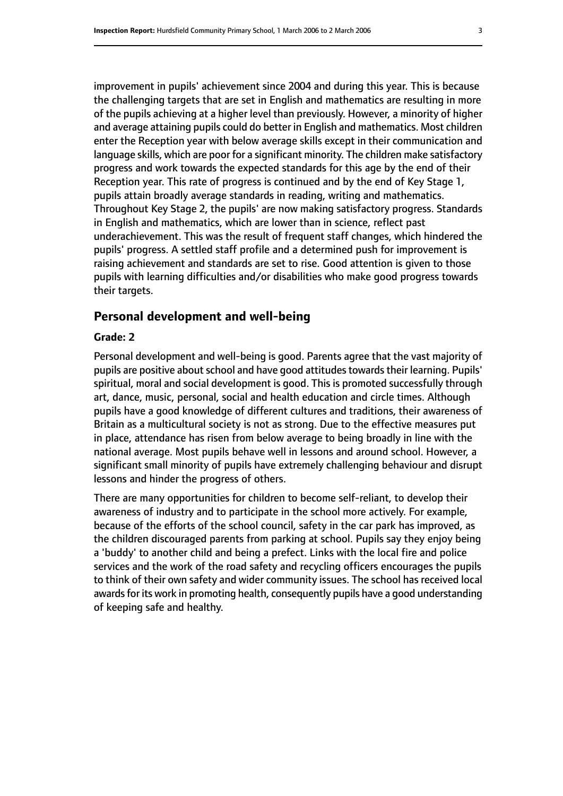improvement in pupils' achievement since 2004 and during this year. This is because the challenging targets that are set in English and mathematics are resulting in more of the pupils achieving at a higher level than previously. However, a minority of higher and average attaining pupils could do better in English and mathematics. Most children enter the Reception year with below average skills except in their communication and language skills, which are poor for a significant minority. The children make satisfactory progress and work towards the expected standards for this age by the end of their Reception year. This rate of progress is continued and by the end of Key Stage 1, pupils attain broadly average standards in reading, writing and mathematics. Throughout Key Stage 2, the pupils' are now making satisfactory progress. Standards in English and mathematics, which are lower than in science, reflect past underachievement. This was the result of frequent staff changes, which hindered the pupils' progress. A settled staff profile and a determined push for improvement is raising achievement and standards are set to rise. Good attention is given to those pupils with learning difficulties and/or disabilities who make good progress towards their targets.

#### **Personal development and well-being**

#### **Grade: 2**

Personal development and well-being is good. Parents agree that the vast majority of pupils are positive about school and have good attitudes towards their learning. Pupils' spiritual, moral and social development is good. This is promoted successfully through art, dance, music, personal, social and health education and circle times. Although pupils have a good knowledge of different cultures and traditions, their awareness of Britain as a multicultural society is not as strong. Due to the effective measures put in place, attendance has risen from below average to being broadly in line with the national average. Most pupils behave well in lessons and around school. However, a significant small minority of pupils have extremely challenging behaviour and disrupt lessons and hinder the progress of others.

There are many opportunities for children to become self-reliant, to develop their awareness of industry and to participate in the school more actively. For example, because of the efforts of the school council, safety in the car park has improved, as the children discouraged parents from parking at school. Pupils say they enjoy being a 'buddy' to another child and being a prefect. Links with the local fire and police services and the work of the road safety and recycling officers encourages the pupils to think of their own safety and wider community issues. The school has received local awards for its work in promoting health, consequently pupils have a good understanding of keeping safe and healthy.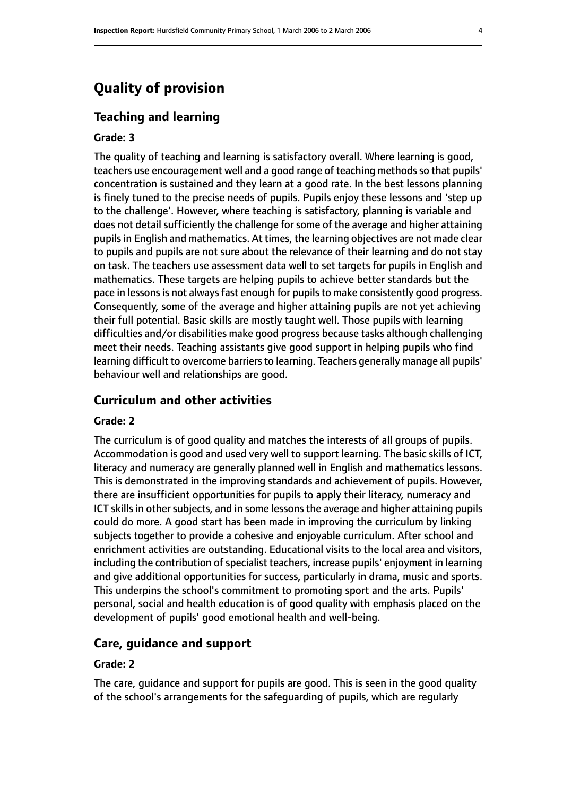# **Quality of provision**

#### **Teaching and learning**

#### **Grade: 3**

The quality of teaching and learning is satisfactory overall. Where learning is good, teachers use encouragement well and a good range of teaching methods so that pupils' concentration is sustained and they learn at a good rate. In the best lessons planning is finely tuned to the precise needs of pupils. Pupils enjoy these lessons and 'step up to the challenge'. However, where teaching is satisfactory, planning is variable and does not detail sufficiently the challenge for some of the average and higher attaining pupils in English and mathematics. At times, the learning objectives are not made clear to pupils and pupils are not sure about the relevance of their learning and do not stay on task. The teachers use assessment data well to set targets for pupils in English and mathematics. These targets are helping pupils to achieve better standards but the pace in lessons is not always fast enough for pupils to make consistently good progress. Consequently, some of the average and higher attaining pupils are not yet achieving their full potential. Basic skills are mostly taught well. Those pupils with learning difficulties and/or disabilities make good progress because tasks although challenging meet their needs. Teaching assistants give good support in helping pupils who find learning difficult to overcome barriers to learning. Teachers generally manage all pupils' behaviour well and relationships are good.

#### **Curriculum and other activities**

#### **Grade: 2**

The curriculum is of good quality and matches the interests of all groups of pupils. Accommodation is good and used very well to support learning. The basic skills of ICT, literacy and numeracy are generally planned well in English and mathematics lessons. This is demonstrated in the improving standards and achievement of pupils. However, there are insufficient opportunities for pupils to apply their literacy, numeracy and ICT skills in other subjects, and in some lessons the average and higher attaining pupils could do more. A good start has been made in improving the curriculum by linking subjects together to provide a cohesive and enjoyable curriculum. After school and enrichment activities are outstanding. Educational visits to the local area and visitors, including the contribution of specialist teachers, increase pupils' enjoyment in learning and give additional opportunities for success, particularly in drama, music and sports. This underpins the school's commitment to promoting sport and the arts. Pupils' personal, social and health education is of good quality with emphasis placed on the development of pupils' good emotional health and well-being.

#### **Care, guidance and support**

#### **Grade: 2**

The care, guidance and support for pupils are good. This is seen in the good quality of the school's arrangements for the safeguarding of pupils, which are regularly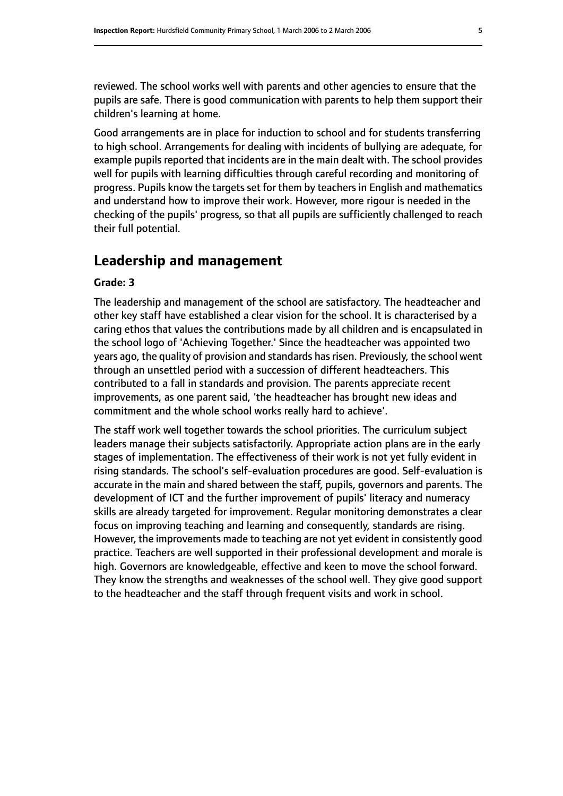reviewed. The school works well with parents and other agencies to ensure that the pupils are safe. There is good communication with parents to help them support their children's learning at home.

Good arrangements are in place for induction to school and for students transferring to high school. Arrangements for dealing with incidents of bullying are adequate, for example pupils reported that incidents are in the main dealt with. The school provides well for pupils with learning difficulties through careful recording and monitoring of progress. Pupils know the targets set for them by teachers in English and mathematics and understand how to improve their work. However, more rigour is needed in the checking of the pupils' progress, so that all pupils are sufficiently challenged to reach their full potential.

# **Leadership and management**

#### **Grade: 3**

The leadership and management of the school are satisfactory. The headteacher and other key staff have established a clear vision for the school. It is characterised by a caring ethos that values the contributions made by all children and is encapsulated in the school logo of 'Achieving Together.' Since the headteacher was appointed two years ago, the quality of provision and standards has risen. Previously, the school went through an unsettled period with a succession of different headteachers. This contributed to a fall in standards and provision. The parents appreciate recent improvements, as one parent said, 'the headteacher has brought new ideas and commitment and the whole school works really hard to achieve'.

The staff work well together towards the school priorities. The curriculum subject leaders manage their subjects satisfactorily. Appropriate action plans are in the early stages of implementation. The effectiveness of their work is not yet fully evident in rising standards. The school's self-evaluation procedures are good. Self-evaluation is accurate in the main and shared between the staff, pupils, governors and parents. The development of ICT and the further improvement of pupils' literacy and numeracy skills are already targeted for improvement. Regular monitoring demonstrates a clear focus on improving teaching and learning and consequently, standards are rising. However, the improvements made to teaching are not yet evident in consistently good practice. Teachers are well supported in their professional development and morale is high. Governors are knowledgeable, effective and keen to move the school forward. They know the strengths and weaknesses of the school well. They give good support to the headteacher and the staff through frequent visits and work in school.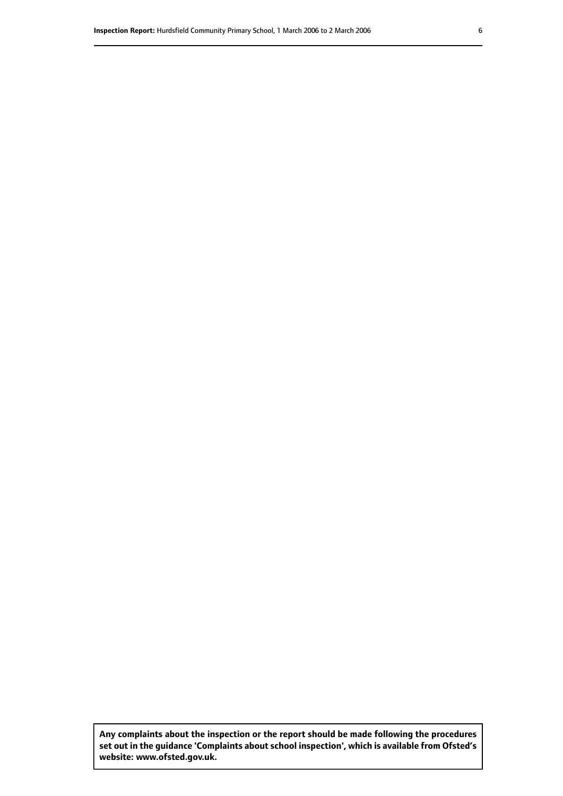**Any complaints about the inspection or the report should be made following the procedures set out inthe guidance 'Complaints about school inspection', whichis available from Ofsted's website: www.ofsted.gov.uk.**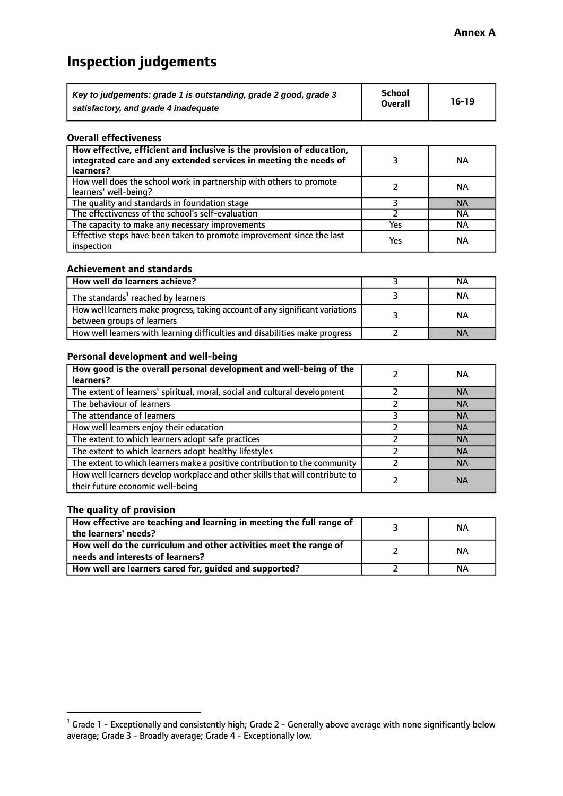# **Inspection judgements**

| Key to judgements: grade 1 is outstanding, grade 2 good, grade 3 | School         | $16-19$ |
|------------------------------------------------------------------|----------------|---------|
| satisfactory, and grade 4 inadequate                             | <b>Overall</b> |         |

#### **Overall effectiveness**

| How effective, efficient and inclusive is the provision of education,<br>integrated care and any extended services in meeting the needs of<br>learners? |     | <b>NA</b> |
|---------------------------------------------------------------------------------------------------------------------------------------------------------|-----|-----------|
| How well does the school work in partnership with others to promote<br>learners' well-being?                                                            |     | ΝA        |
| The quality and standards in foundation stage                                                                                                           |     | <b>NA</b> |
| The effectiveness of the school's self-evaluation                                                                                                       |     | ΝA        |
| The capacity to make any necessary improvements                                                                                                         | Yes | NА        |
| Effective steps have been taken to promote improvement since the last<br>inspection                                                                     | Yes | <b>NA</b> |

#### **Achievement and standards**

| How well do learners achieve?                                                                               | ΝA        |
|-------------------------------------------------------------------------------------------------------------|-----------|
| The standards <sup>1</sup> reached by learners                                                              | NА        |
| How well learners make progress, taking account of any significant variations<br>between groups of learners | <b>NA</b> |
| How well learners with learning difficulties and disabilities make progress                                 | <b>NA</b> |

#### **Personal development and well-being**

| How good is the overall personal development and well-being of the<br>learners?                                  | ΝA        |
|------------------------------------------------------------------------------------------------------------------|-----------|
| The extent of learners' spiritual, moral, social and cultural development                                        | <b>NA</b> |
| The behaviour of learners                                                                                        | <b>NA</b> |
| The attendance of learners                                                                                       | <b>NA</b> |
| How well learners enjoy their education                                                                          | <b>NA</b> |
| The extent to which learners adopt safe practices                                                                | <b>NA</b> |
| The extent to which learners adopt healthy lifestyles                                                            | <b>NA</b> |
| The extent to which learners make a positive contribution to the community                                       | <b>NA</b> |
| How well learners develop workplace and other skills that will contribute to<br>their future economic well-being | <b>NA</b> |

#### **The quality of provision**

| How effective are teaching and learning in meeting the full range of<br>the learners' needs?          | ΝA |
|-------------------------------------------------------------------------------------------------------|----|
| How well do the curriculum and other activities meet the range of<br>needs and interests of learners? | ΝA |
| How well are learners cared for, guided and supported?                                                | NА |

 $^1$  Grade 1 - Exceptionally and consistently high; Grade 2 - Generally above average with none significantly below average; Grade 3 - Broadly average; Grade 4 - Exceptionally low.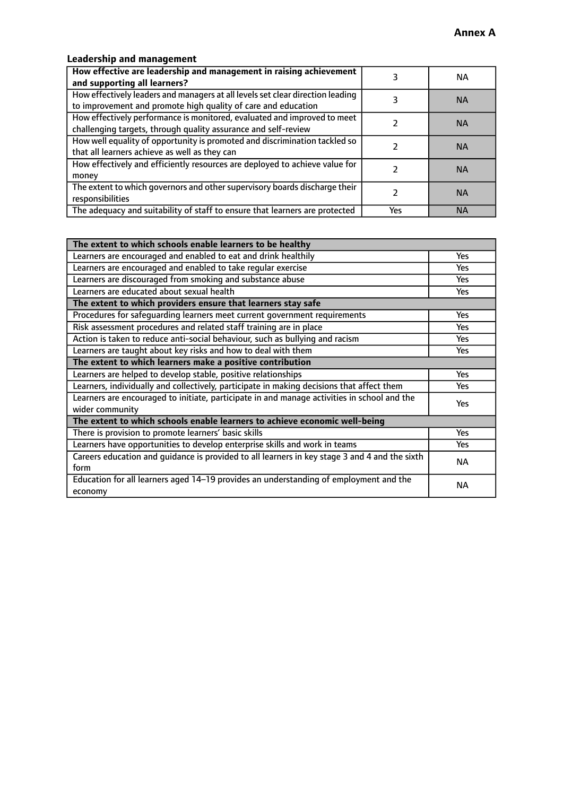# **Leadership and management**

| How effective are leadership and management in raising achievement<br>and supporting all learners?                                              |     | NA.       |
|-------------------------------------------------------------------------------------------------------------------------------------------------|-----|-----------|
| How effectively leaders and managers at all levels set clear direction leading<br>to improvement and promote high quality of care and education |     | <b>NA</b> |
| How effectively performance is monitored, evaluated and improved to meet<br>challenging targets, through quality assurance and self-review      |     | <b>NA</b> |
| How well equality of opportunity is promoted and discrimination tackled so<br>that all learners achieve as well as they can                     |     | <b>NA</b> |
| How effectively and efficiently resources are deployed to achieve value for<br>money                                                            |     | <b>NA</b> |
| The extent to which governors and other supervisory boards discharge their<br>responsibilities                                                  |     | <b>NA</b> |
| The adequacy and suitability of staff to ensure that learners are protected                                                                     | Yes | <b>NA</b> |

| The extent to which schools enable learners to be healthy                                     |            |  |
|-----------------------------------------------------------------------------------------------|------------|--|
| Learners are encouraged and enabled to eat and drink healthily                                | Yes        |  |
| Learners are encouraged and enabled to take regular exercise                                  | <b>Yes</b> |  |
| Learners are discouraged from smoking and substance abuse                                     | Yes        |  |
| Learners are educated about sexual health                                                     | Yes        |  |
| The extent to which providers ensure that learners stay safe                                  |            |  |
| Procedures for safequarding learners meet current government requirements                     | Yes        |  |
| Risk assessment procedures and related staff training are in place                            | Yes        |  |
| Action is taken to reduce anti-social behaviour, such as bullying and racism                  | <b>Yes</b> |  |
| Learners are taught about key risks and how to deal with them                                 | Yes        |  |
| The extent to which learners make a positive contribution                                     |            |  |
| Learners are helped to develop stable, positive relationships                                 | Yes        |  |
| Learners, individually and collectively, participate in making decisions that affect them     | Yes        |  |
| Learners are encouraged to initiate, participate in and manage activities in school and the   | <b>Yes</b> |  |
| wider community                                                                               |            |  |
| The extent to which schools enable learners to achieve economic well-being                    |            |  |
| There is provision to promote learners' basic skills                                          | Yes        |  |
| Learners have opportunities to develop enterprise skills and work in teams                    | Yes        |  |
| Careers education and quidance is provided to all learners in key stage 3 and 4 and the sixth | <b>NA</b>  |  |
| form                                                                                          |            |  |
| Education for all learners aged 14-19 provides an understanding of employment and the         | <b>NA</b>  |  |
| economy                                                                                       |            |  |